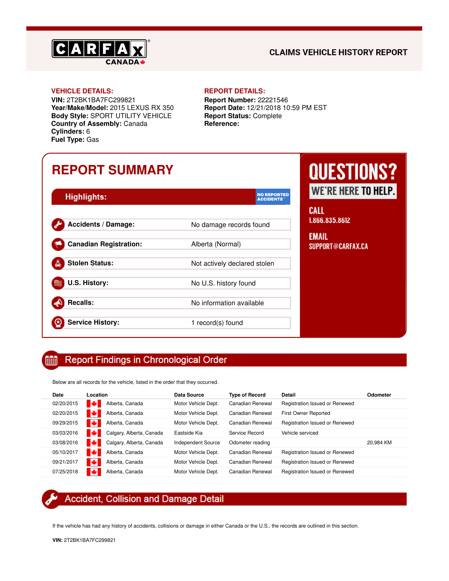

### **CLAIMS VEHICLE HISTORY REPORT**

#### **VEHICLE DETAILS: REPORT DETAILS:**

**VIN:** 2T2BK1BA7FC299821 **Year/Make/Model:** 2015 LEXUS RX 350 **Body Style:** SPORT UTILITY VEHICLE **Country of Assembly:** Canada **Cylinders:** 6 **Fuel Type:** Gas

**Report Number:** 22221546 **Report Date:** 12/21/2018 10:59 PM EST **Report Status:** Complete **Reference:**

## **REPORT SUMMARY**

| <b>Highlights:</b>            | <b>NO REPORTED</b><br><b>ACCIDENTS</b> |
|-------------------------------|----------------------------------------|
| <b>Accidents / Damage:</b>    | No damage records found                |
| <b>Canadian Registration:</b> | Alberta (Normal)                       |
| <b>Stolen Status:</b>         | Not actively declared stolen           |
| U.S. History:                 | No U.S. history found                  |
| <b>Recalls:</b>               | No information available               |
| <b>Service History:</b>       | 1 record(s) found                      |

# **QUESTIONS?** VE'RE HERE TO HELP.

ιt. 66.835.8612

### **IAIL** PPORT@CARFAX.CA

#### Report Findings in Chronological Order 酾

Below are all records for the vehicle, listed in the order that they occurred.

| Date       | Location                      | Data Source               | <b>Type of Record</b> | <b>Detail</b>                  | Odometer  |
|------------|-------------------------------|---------------------------|-----------------------|--------------------------------|-----------|
| 02/20/2015 | ю<br>Alberta, Canada          | Motor Vehicle Dept.       | Canadian Renewal      | Registration Issued or Renewed |           |
| 02/20/2015 | м<br>Alberta, Canada          | Motor Vehicle Dept.       | Canadian Renewal      | First Owner Reported           |           |
| 09/29/2015 | м<br>Alberta, Canada          | Motor Vehicle Dept.       | Canadian Renewal      | Registration Issued or Renewed |           |
| 03/03/2016 | м<br>Calgary, Alberta, Canada | Eastside Kia              | Service Record        | Vehicle serviced               |           |
| 03/08/2016 | м<br>Calgary, Alberta, Canada | <b>Independent Source</b> | Odometer reading      |                                | 20.984 KM |
| 05/10/2017 | ю<br>Alberta, Canada          | Motor Vehicle Dept.       | Canadian Renewal      | Registration Issued or Renewed |           |
| 09/21/2017 | в<br>Alberta, Canada          | Motor Vehicle Dept.       | Canadian Renewal      | Registration Issued or Renewed |           |
| 07/25/2018 | Alberta, Canada               | Motor Vehicle Dept.       | Canadian Renewal      | Registration Issued or Renewed |           |

### Accident, Collision and Damage Detail

If the vehicle has had any history of accidents, collisions or damage in either Canada or the U.S., the records are outlined in this section.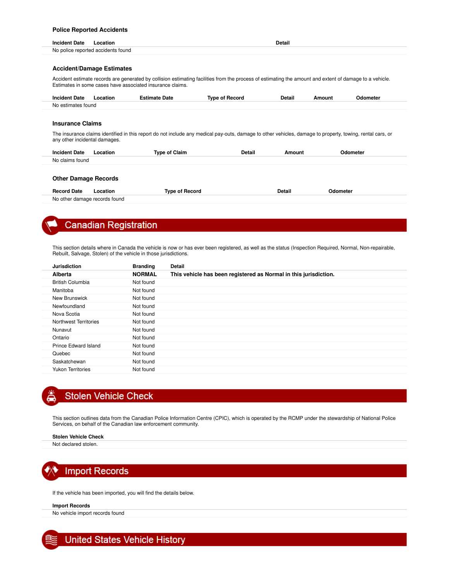### **Police Reported Accidents**

| Incident<br>Date | _ocatior                           | . .<br>Detail<br>. |
|------------------|------------------------------------|--------------------|
|                  | No police reported accidents found |                    |

#### **Accident/Damage Estimates**

Accident estimate records are generated by collision estimating facilities from the process of estimating the amount and extent of damage to a vehicle. Estimates in some cases have associated insurance claims.

| <b>Incident Date</b> | ocation | `stimate Date | Record<br>Tvne of | Detail | Amount | Odometer |
|----------------------|---------|---------------|-------------------|--------|--------|----------|
| No estimates found   |         |               |                   |        |        |          |

#### **Insurance Claims**

The insurance claims identified in this report do not include any medical pay-outs, damage to other vehicles, damage to property, towing, rental cars, or any other incidental damages.

| <b>Incident Date</b> | ∟ocation | <b>Type of Claim</b> | <b>Detail</b> | Amoun' | Jdometer |
|----------------------|----------|----------------------|---------------|--------|----------|
| No claims found      |          |                      |               |        |          |
|                      |          |                      |               |        |          |

#### **Other Damage Records**

| <b>Record Date</b>            | .ocation | Tvpe of Record | Detail | Odometer |
|-------------------------------|----------|----------------|--------|----------|
| No other damage records found |          |                |        |          |

### **Canadian Registration**

This section details where in Canada the vehicle is now or has ever been registered, as well as the status (Inspection Required, Normal, Non-repairable, Rebuilt, Salvage, Stolen) of the vehicle in those jurisdictions.

| <b>Jurisdiction</b>      | <b>Branding</b> | <b>Detail</b>                                                    |
|--------------------------|-----------------|------------------------------------------------------------------|
| <b>Alberta</b>           | <b>NORMAL</b>   | This vehicle has been registered as Normal in this jurisdiction. |
| <b>British Columbia</b>  | Not found       |                                                                  |
| Manitoba                 | Not found       |                                                                  |
| New Brunswick            | Not found       |                                                                  |
| Newfoundland             | Not found       |                                                                  |
| Nova Scotia              | Not found       |                                                                  |
| Northwest Territories    | Not found       |                                                                  |
| Nunavut                  | Not found       |                                                                  |
| Ontario                  | Not found       |                                                                  |
| Prince Edward Island     | Not found       |                                                                  |
| Quebec                   | Not found       |                                                                  |
| Saskatchewan             | Not found       |                                                                  |
| <b>Yukon Territories</b> | Not found       |                                                                  |

### **Stolen Vehicle Check**

This section outlines data from the Canadian Police Information Centre (CPIC), which is operated by the RCMP under the stewardship of National Police Services, on behalf of the Canadian law enforcement community.

#### **Stolen Vehicle Check**

Not declared stolen.



If the vehicle has been imported, you will find the details below.

#### **Import Records**

No vehicle import records found